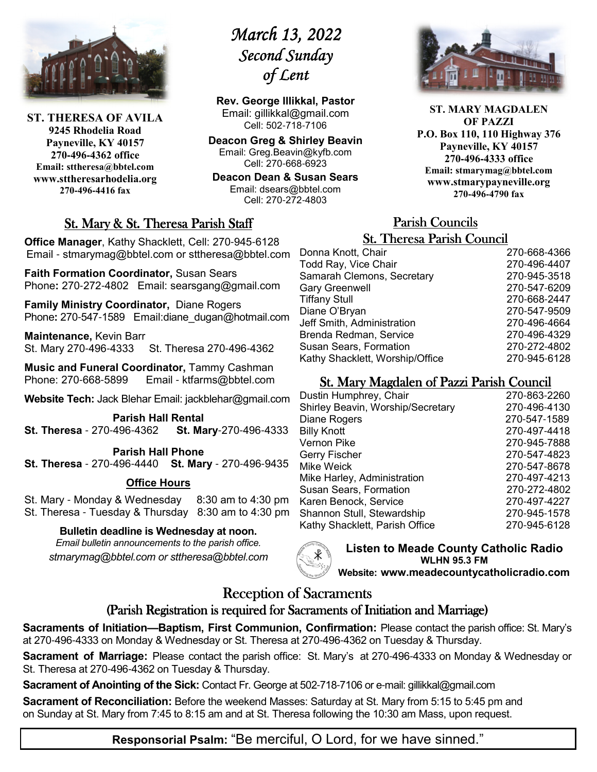

**ST. THERESA OF AVILA 9245 Rhodelia Road Payneville, KY 40157 270-496-4362 office Email: sttheresa@bbtel.com www.sttheresarhodelia.org 270-496-4416 fax**

# *March 13, 2022 March 13, 2022*  Second Sunday *of Lent Lent*

**Rev. George Illikkal, Pastor** Email: gillikkal@gmail.com Cell: 502-718-7106

**Deacon Greg & Shirley Beavin** Email: Greg.Beavin@kyfb.com Cell: 270-668-6923

**Deacon Dean & Susan Sears** Email: dsears@bbtel.com Cell: 270-272-4803

# St. Mary & St. Theresa Parish Staff

**Office Manager**, Kathy Shacklett, Cell: 270-945-6128 Email - stmarymag@bbtel.com or sttheresa@bbtel.com

**Faith Formation Coordinator,** Susan Sears Phone**:** 270-272-4802Email: searsgang@gmail.com

**Family Ministry Coordinator,** Diane Rogers Phone: 270-547-1589 Email:diane\_dugan@hotmail.com

**Maintenance,** Kevin Barr St. Mary 270-496-4333 St. Theresa 270-496-4362

**Music and Funeral Coordinator,** Tammy Cashman Phone: 270-668-5899 Email - ktfarms@bbtel.com

**Website Tech:** Jack Blehar Email: jackblehar@gmail.com

**Parish Hall Rental St. Theresa** - 270-496-4362 **St. Mary**-270-496-4333

#### **Parish Hall Phone St. Theresa** - 270-496-4440 **St. Mary** - 270-496-9435

# **Office Hours**

St. Mary - Monday & Wednesday 8:30 am to 4:30 pm St. Theresa - Tuesday & Thursday 8:30 am to 4:30 pm

### **Bulletin deadline is Wednesday at noon.**

*Email bulletin announcements to the parish office. stmarymag@bbtel.com or sttheresa@bbtel.com*



**Listen to Meade County Catholic Radio WLHN 95.3 FM Website: www.meadecountycatholicradio.com**

# Reception of Sacraments

# (Parish Registration is required for Sacraments of Initiation and Marriage)

**Sacraments of Initiation—Baptism, First Communion, Confirmation:** Please contact the parish office: St. Mary's at 270-496-4333 on Monday & Wednesday or St. Theresa at 270-496-4362 on Tuesday & Thursday.

**Sacrament of Marriage:** Please contact the parish office: St. Mary's at 270-496-4333 on Monday & Wednesday or St. Theresa at 270-496-4362 on Tuesday & Thursday.

**Sacrament of Anointing of the Sick:** Contact Fr. George at 502-718-7106 or e-mail: gillikkal@gmail.com

**Sacrament of Reconciliation:** Before the weekend Masses: Saturday at St. Mary from 5:15 to 5:45 pm and on Sunday at St. Mary from 7:45 to 8:15 am and at St. Theresa following the 10:30 am Mass, upon request.

**ST. MARY MAGDALEN OF PAZZI P.O. Box 110, 110 Highway 376 Payneville, KY 40157 270-496-4333 office Email: stmarymag@bbtel.com www.stmarypayneville.org 270-496-4790 fax**

# Parish Councils Parish Councils

| <b>St. Theresa Parish Council</b> |              |  |
|-----------------------------------|--------------|--|
| Donna Knott, Chair                | 270-668-4366 |  |
| Todd Ray, Vice Chair              | 270-496-4407 |  |
| Samarah Clemons, Secretary        | 270-945-3518 |  |
| <b>Gary Greenwell</b>             | 270-547-6209 |  |
| <b>Tiffany Stull</b>              | 270-668-2447 |  |
| Diane O'Bryan                     | 270-547-9509 |  |
| Jeff Smith, Administration        | 270-496-4664 |  |
| Brenda Redman, Service            | 270-496-4329 |  |
| <b>Susan Sears, Formation</b>     | 270-272-4802 |  |
| Kathy Shacklett, Worship/Office   | 270-945-6128 |  |

# St. Mary Magdalen of Pazzi Parish Council

| Dustin Humphrey, Chair            | 270-863-2260 |
|-----------------------------------|--------------|
| Shirley Beavin, Worship/Secretary | 270-496-4130 |
| Diane Rogers                      | 270-547-1589 |
| <b>Billy Knott</b>                | 270-497-4418 |
| Vernon Pike                       | 270-945-7888 |
| Gerry Fischer                     | 270-547-4823 |
| Mike Weick                        | 270-547-8678 |
| Mike Harley, Administration       | 270-497-4213 |
| <b>Susan Sears, Formation</b>     | 270-272-4802 |
| Karen Benock, Service             | 270-497-4227 |
| Shannon Stull, Stewardship        | 270-945-1578 |
| Kathy Shacklett, Parish Office    | 270-945-6128 |
|                                   |              |

**Responsorial Psalm:** "Be merciful, O Lord, for we have sinned."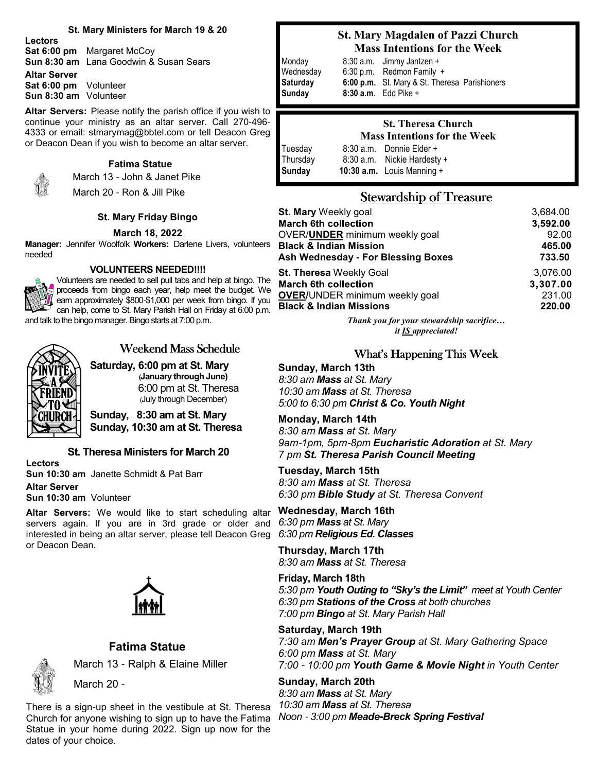#### **St. Mary Ministers for March 19 & 20**

**Lectors**

**Sat 6:00 pm** Margaret McCoy **Sun 8:30 am** Lana Goodwin & Susan Sears

**Altar Server Sat 6:00 pm** Volunteer **Sun 8:30 am** Volunteer

**Altar Servers:** Please notify the parish office if you wish to continue your ministry as an altar server. Call 270-496- 4333 or email: stmarymag@bbtel.com or tell Deacon Greg or Deacon Dean if you wish to become an altar server.

#### **Fatima Statue** March 13 - John & Janet Pike



March 20 - Ron & Jill Pike

#### **St. Mary Friday Bingo**

#### **March 18, 2022**

**Manager:** Jennifer Woolfolk **Workers:** Darlene Livers, volunteers needed

#### **VOLUNTEERS NEEDED!!!!**

Volunteers are needed to sell pull tabs and help at bingo. The proceeds from bingo each year, help meet the budget. We earn approximately \$800-\$1,000 per week from bingo. If you can help, come to St. Mary Parish Hall on Friday at 6:00 p.m. and talk to the bingo manager. Bingo starts at 7:00 p.m.



# Weekend Mass Schedule

**Saturday, 6:00 pm at St. Mary (January through June)**  6:00 pm at St. Theresa (July through December)

**Sunday, 8:30 am at St. Mary Sunday, 10:30 am at St. Theresa**

#### **St. Theresa Ministers for March 20**

**Lectors Sun 10:30 am** Janette Schmidt & Pat Barr

**Altar Server**

**Sun 10:30 am** Volunteer

**Altar Servers:** We would like to start scheduling altar servers again. If you are in 3rd grade or older and interested in being an altar server, please tell Deacon Greg or Deacon Dean.



### **Fatima Statue**

March 13 - Ralph & Elaine Miller



March 20 -

There is a sign-up sheet in the vestibule at St. Theresa Church for anyone wishing to sign up to have the Fatima *Noon* - *3:00 pm Meade***-***Breck Spring Festival* Statue in your home during 2022. Sign up now for the dates of your choice.

### **St. Mary Magdalen of Pazzi Church Mass Intentions for the Week**

Monday8:30 a.m. Jimmy Jantzen + Wednesday 6:30 p.m. Redmon Family + **Saturday 6:00 p.m.** St. Mary & St. Theresa Parishioners **Sunday 8:30 a.m**. Edd Pike +

#### **St. Theresa Church Mass Intentions for the Week** Tuesday 8:30 a.m. Donnie Elder +

Thursday 8:30 a.m. Nickie Hardesty +<br>**Sunday 10:30 a.m.** Louis Manning + **10:30 a.m.** Louis Manning +

# **Stewardship of Treasure**

| <b>St. Mary Weekly goal</b>           | 3,684.00 |
|---------------------------------------|----------|
| <b>March 6th collection</b>           | 3,592.00 |
| OVER/UNDER minimum weekly goal        | 92.00    |
| <b>Black &amp; Indian Mission</b>     | 465.00   |
| Ash Wednesday - For Blessing Boxes    | 733.50   |
| <b>St. Theresa Weekly Goal</b>        | 3,076.00 |
| <b>March 6th collection</b>           | 3,307.00 |
| <b>OVER/UNDER minimum weekly goal</b> | 231.00   |
| <b>Black &amp; Indian Missions</b>    | 220.00   |
|                                       |          |

*Thank you for your stewardship sacrifice… it IS appreciated!*

### What's Happening This Week

**Sunday, March 13th** *8:30 am Mass at St. Mary 10:30 am Mass at St. Theresa 5:00 to 6:30 pm Christ & Co. Youth Night* 

**Monday, March 14th** *8:30 am Mass at St. Mary 9am*-*1pm, 5pm*-*8pm Eucharistic Adoration at St. Mary 7 pm St. Theresa Parish Council Meeting* 

**Tuesday, March 15th** *8:30 am Mass at St. Theresa 6:30 pm Bible Study at St. Theresa Convent*

**Wednesday, March 16th** *6:30 pm Mass at St. Mary 6:30 pm Religious Ed. Classes* 

**Thursday, March 17th** *8:30 am Mass at St. Theresa*

**Friday, March 18th** *5:30 pm Youth Outing to "Sky's the Limit" meet at Youth Center 6:30 pm Stations of the Cross at both churches 7:00 pm Bingo at St. Mary Parish Hall* 

**Saturday, March 19th** *7:30 am Men's Prayer Group at St. Mary Gathering Space 6:00 pm Mass at St. Mary 7:00* - *10:00 pm Youth Game & Movie Night in Youth Center*

**Sunday, March 20th** *8:30 am Mass at St. Mary 10:30 am Mass at St. Theresa*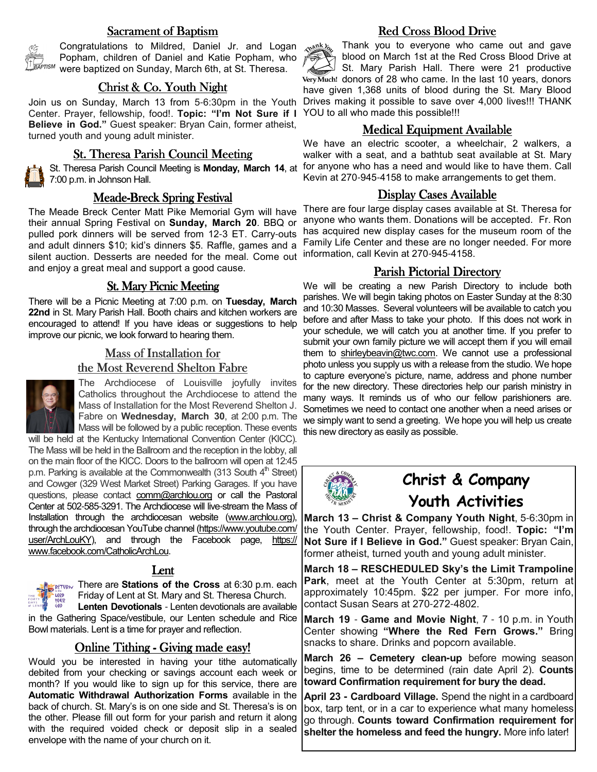#### Sacrament of Baptism



Congratulations to Mildred, Daniel Jr. and Logan Popham, children of Daniel and Katie Popham, who were baptized on Sunday, March 6th, at St. Theresa.

#### $Christ & Co. Youth Night$

Center. Prayer, fellowship, food!. **Topic: "I'm Not Sure if I**  YOU to all who made this possible!!! **Believe in God."** Guest speaker: Bryan Cain, former atheist, turned youth and young adult minister.

### St. Theresa Parish Council Meeting

St. Theresa Parish Council Meeting is **Monday, March 14**, at 7:00 p.m. in Johnson Hall.

#### Meade-Breck Spring Festival

The Meade Breck Center Matt Pike Memorial Gym will have their annual Spring Festival on **Sunday, March 20**. BBQ or pulled pork dinners will be served from 12-3 ET. Carry-outs and adult dinners \$10; kid's dinners \$5. Raffle, games and a silent auction. Desserts are needed for the meal. Come out and enjoy a great meal and support a good cause.

#### **St. Mary Picnic Meeting**

There will be a Picnic Meeting at 7:00 p.m. on **Tuesday, March 22nd** in St. Mary Parish Hall. Booth chairs and kitchen workers are encouraged to attend! If you have ideas or suggestions to help improve our picnic, we look forward to hearing them.

# Mass of Installation for the Most Reverend Shelton Fabre



The Archdiocese of Louisville joyfully invites Catholics throughout the Archdiocese to attend the Mass of Installation for the Most Reverend Shelton J. Fabre on **Wednesday, March 30**, at 2:00 p.m. The Mass will be followed by a public reception. These events

will be held at the Kentucky International Convention Center (KICC). The Mass will be held in the Ballroom and the reception in the lobby, all on the main floor of the KICC. Doors to the ballroom will open at 12:45 p.m. Parking is available at the Commonwealth (313 South  $4<sup>th</sup>$  Street) and Cowger (329 West Market Street) Parking Garages. If you have questions, please contact comm@archlou.org or call the Pastoral Center at 502-585-3291. The Archdiocese will live-stream the Mass of Installation through the archdiocesan website (www.archlou.org), through the archdiocesan YouTube channel (https://www.youtube.com/ user/ArchLouKY), and through the Facebook page, https:// www.facebook.com/CatholicArchLou.

#### Lent

**THERE THERE ARE STATIONS of the Cross** at 6:30 p.m. each Friday of Lent at St. Mary and St. Theresa Church. LORD YOUR<br>GOD

**Lenten Devotionals** - Lenten devotionals are available in the Gathering Space/vestibule, our Lenten schedule and Rice Bowl materials. Lent is a time for prayer and reflection.

### Online Tithing - Giving made easy!

Would you be interested in having your tithe automatically debited from your checking or savings account each week or month? If you would like to sign up for this service, there are **Automatic Withdrawal Authorization Forms** available in the back of church. St. Mary's is on one side and St. Theresa's is on the other. Please fill out form for your parish and return it along with the required voided check or deposit slip in a sealed envelope with the name of your church on it.

# Red Cross Blood Drive

Thank you to everyone who came out and gave mank los blood on March 1st at the Red Cross Blood Drive at St. Mary Parish Hall. There were 21 productive Very Much! donors of 28 who came. In the last 10 years, donors have given 1,368 units of blood during the St. Mary Blood Join us on Sunday, March 13 from 5-6:30pm in the Youth Drives making it possible to save over 4,000 lives!!! THANK

#### **Medical Equipment Available**

We have an electric scooter, a wheelchair, 2 walkers, a walker with a seat, and a bathtub seat available at St. Mary for anyone who has a need and would like to have them. Call Kevin at 270-945-4158 to make arrangements to get them.

#### Display Cases Available

There are four large display cases available at St. Theresa for anyone who wants them. Donations will be accepted. Fr. Ron has acquired new display cases for the museum room of the Family Life Center and these are no longer needed. For more information, call Kevin at 270-945-4158.

#### Parish Pictorial Directory

We will be creating a new Parish Directory to include both parishes. We will begin taking photos on Easter Sunday at the 8:30 and 10:30 Masses. Several volunteers will be available to catch you before and after Mass to take your photo. If this does not work in your schedule, we will catch you at another time. If you prefer to submit your own family picture we will accept them if you will email them to shirleybeavin@twc.com. We cannot use a professional photo unless you supply us with a release from the studio. We hope to capture everyone's picture, name, address and phone number for the new directory. These directories help our parish ministry in many ways. It reminds us of who our fellow parishioners are. Sometimes we need to contact one another when a need arises or we simply want to send a greeting. We hope you will help us create this new directory as easily as possible.



# **Christ & Company Youth Activities**

**March 13 – Christ & Company Youth Night**, 5-6:30pm in the Youth Center. Prayer, fellowship, food!. **Topic: "I'm Not Sure if I Believe in God."** Guest speaker: Bryan Cain, former atheist, turned youth and young adult minister.

**March 18 – RESCHEDULED Sky's the Limit Trampoline Park**, meet at the Youth Center at 5:30pm, return at approximately 10:45pm. \$22 per jumper. For more info, contact Susan Sears at 270-272-4802.

**March 19** - **Game and Movie Night**, 7 - 10 p.m. in Youth Center showing **"Where the Red Fern Grows."** Bring snacks to share. Drinks and popcorn available.

**March 26 – Cemetery clean-up** before mowing season begins, time to be determined (rain date April 2). **Counts toward Confirmation requirement for bury the dead.** 

**April 23 - Cardboard Village.** Spend the night in a cardboard box, tarp tent, or in a car to experience what many homeless go through. **Counts toward Confirmation requirement for shelter the homeless and feed the hungry.** More info later!